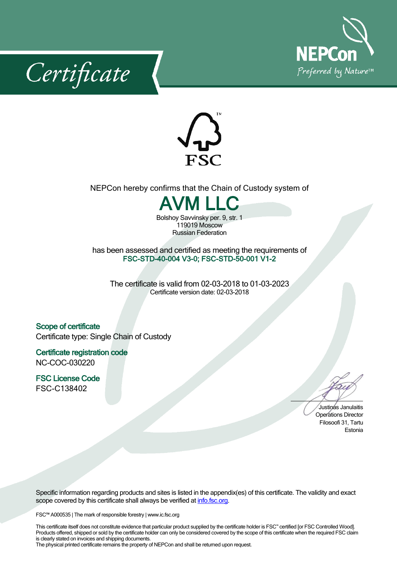





## NEPCon hereby confirms that the Chain of Custody system of



Bolshoy Savvinsky per. 9, str. 1 119019 Moscow Russian Federation

has been assessed and certified as meeting the requirements of **FSC-STD-40-004 V3-0; FSC-STD-50-001 V1-2**

The certificate is valid from 02-03-2018 to 01-03-2023 Certificate version date: 02-03-2018

**Scope of certificate** Certificate type: Single Chain of Custody

**Certificate registration code** NC-COC-030220

**FSC License Code** FSC-C138402

Justinas Janulaitis Operations Director Filosoofi 31, Tartu Estonia

Specific information regarding products and sites is listed in the appendix(es) of this certificate. The validity and exact scope covered by this certificate shall always be verified at *[info.fsc.org.](http://info.fsc.org/)* 

FSC™ A000535 | The mark of responsible forestry | www.ic.fsc.org

This certificate itself does not constitute evidence that particular product supplied by the certificate holder is FSC™ certified [or FSC Controlled Wood]. Products offered, shipped or sold by the certificate holder can only be considered covered by the scope of this certificate when the required FSC claim is clearly stated on invoices and shipping documents.

The physical printed certificate remains the property of NEPCon and shall be returned upon request.